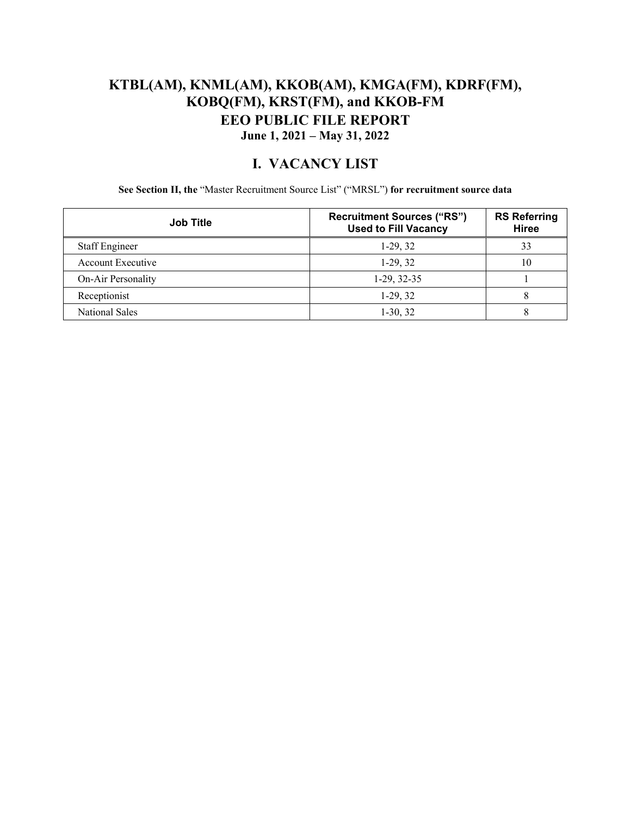### **KTBL(AM), KNML(AM), KKOB(AM), KMGA(FM), KDRF(FM), KOBQ(FM), KRST(FM), and KKOB-FM EEO PUBLIC FILE REPORT June 1, 2021 – May 31, 2022**

#### **I. VACANCY LIST**

**See Section II, the** "Master Recruitment Source List" ("MRSL") **for recruitment source data** 

| <b>Job Title</b>         | <b>Recruitment Sources ("RS")</b><br><b>Used to Fill Vacancy</b> | <b>RS Referring</b><br><b>Hiree</b> |
|--------------------------|------------------------------------------------------------------|-------------------------------------|
| <b>Staff Engineer</b>    | $1-29, 32$                                                       | 33                                  |
| <b>Account Executive</b> | $1-29, 32$                                                       | 10                                  |
| On-Air Personality       | $1-29, 32-35$                                                    |                                     |
| Receptionist             | $1-29, 32$                                                       | 8                                   |
| <b>National Sales</b>    | $1-30, 32$                                                       |                                     |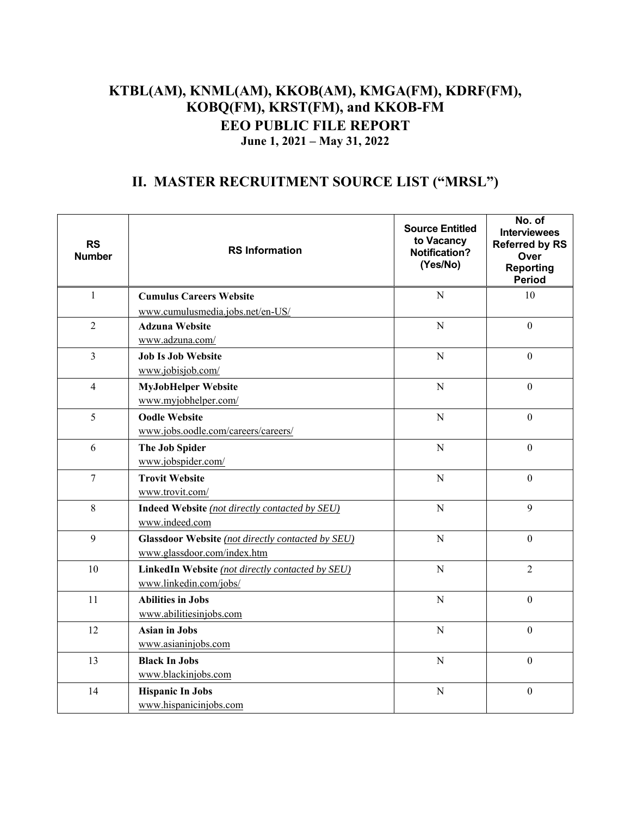### **KTBL(AM), KNML(AM), KKOB(AM), KMGA(FM), KDRF(FM), KOBQ(FM), KRST(FM), and KKOB-FM EEO PUBLIC FILE REPORT June 1, 2021 – May 31, 2022**

## **II. MASTER RECRUITMENT SOURCE LIST ("MRSL")**

| <b>RS</b><br><b>Number</b> | <b>RS Information</b>                                                            | <b>Source Entitled</b><br>to Vacancy<br>Notification?<br>(Yes/No) | No. of<br><b>Interviewees</b><br><b>Referred by RS</b><br>Over<br><b>Reporting</b><br><b>Period</b> |
|----------------------------|----------------------------------------------------------------------------------|-------------------------------------------------------------------|-----------------------------------------------------------------------------------------------------|
| $\mathbf{1}$               | <b>Cumulus Careers Website</b>                                                   | $\mathbf N$                                                       | 10                                                                                                  |
|                            | www.cumulusmedia.jobs.net/en-US/                                                 |                                                                   |                                                                                                     |
| $\overline{2}$             | <b>Adzuna Website</b><br>www.adzuna.com/                                         | $\mathbf N$                                                       | $\mathbf{0}$                                                                                        |
| $\overline{3}$             | <b>Job Is Job Website</b><br>www.jobisjob.com/                                   | $\overline{N}$                                                    | $\boldsymbol{0}$                                                                                    |
| $\overline{4}$             | <b>MyJobHelper Website</b><br>www.myjobhelper.com/                               | ${\bf N}$                                                         | $\overline{0}$                                                                                      |
| 5                          | <b>Oodle Website</b><br>www.jobs.oodle.com/careers/careers/                      | N                                                                 | $\mathbf{0}$                                                                                        |
| 6                          | The Job Spider<br>www.jobspider.com/                                             | ${\bf N}$                                                         | $\boldsymbol{0}$                                                                                    |
| $\overline{7}$             | <b>Trovit Website</b><br>www.trovit.com/                                         | N                                                                 | $\overline{0}$                                                                                      |
| 8                          | Indeed Website (not directly contacted by SEU)<br>www.indeed.com                 | $\mathbf N$                                                       | 9                                                                                                   |
| 9                          | Glassdoor Website (not directly contacted by SEU)<br>www.glassdoor.com/index.htm | $\overline{N}$                                                    | $\theta$                                                                                            |
| 10                         | LinkedIn Website (not directly contacted by SEU)<br>www.linkedin.com/jobs/       | $\mathbf N$                                                       | $\overline{2}$                                                                                      |
| 11                         | <b>Abilities in Jobs</b><br>www.abilitiesinjobs.com                              | ${\bf N}$                                                         | $\boldsymbol{0}$                                                                                    |
| 12                         | <b>Asian in Jobs</b><br>www.asianinjobs.com                                      | N                                                                 | $\overline{0}$                                                                                      |
| 13                         | <b>Black In Jobs</b><br>www.blackinjobs.com                                      | ${\bf N}$                                                         | $\mathbf{0}$                                                                                        |
| 14                         | <b>Hispanic In Jobs</b><br>www.hispanicinjobs.com                                | ${\bf N}$                                                         | $\boldsymbol{0}$                                                                                    |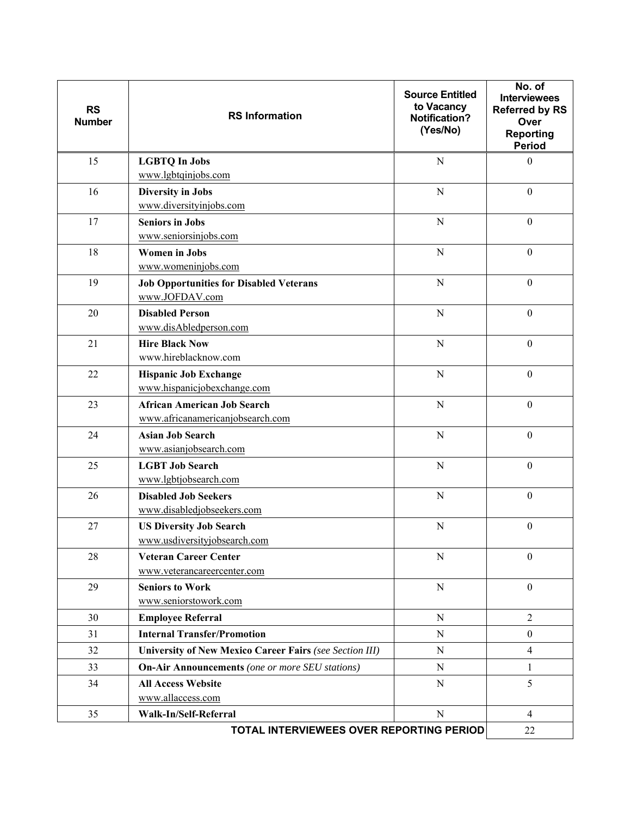| <b>RS</b><br><b>Number</b>                     | <b>RS</b> Information                                          | <b>Source Entitled</b><br>to Vacancy<br><b>Notification?</b><br>(Yes/No) | No. of<br><b>Interviewees</b><br><b>Referred by RS</b><br>Over<br><b>Reporting</b><br><b>Period</b> |
|------------------------------------------------|----------------------------------------------------------------|--------------------------------------------------------------------------|-----------------------------------------------------------------------------------------------------|
| 15                                             | <b>LGBTQ In Jobs</b>                                           | $\overline{N}$                                                           | $\overline{0}$                                                                                      |
|                                                | www.lgbtqinjobs.com                                            |                                                                          |                                                                                                     |
| 16                                             | <b>Diversity in Jobs</b><br>www.diversityinjobs.com            | $\mathbf N$                                                              | $\boldsymbol{0}$                                                                                    |
| 17                                             | <b>Seniors in Jobs</b>                                         | ${\bf N}$                                                                | $\boldsymbol{0}$                                                                                    |
|                                                | www.seniorsinjobs.com                                          |                                                                          |                                                                                                     |
| 18                                             | <b>Women in Jobs</b>                                           | N                                                                        | $\boldsymbol{0}$                                                                                    |
|                                                | www.womeninjobs.com                                            |                                                                          |                                                                                                     |
| 19                                             | <b>Job Opportunities for Disabled Veterans</b>                 | ${\bf N}$                                                                | $\boldsymbol{0}$                                                                                    |
|                                                | www.JOFDAV.com                                                 |                                                                          |                                                                                                     |
| 20                                             | <b>Disabled Person</b>                                         | $\mathbf N$                                                              | $\boldsymbol{0}$                                                                                    |
|                                                | www.disAbledperson.com                                         |                                                                          |                                                                                                     |
| 21                                             | <b>Hire Black Now</b>                                          | N                                                                        | $\boldsymbol{0}$                                                                                    |
|                                                | www.hireblacknow.com                                           |                                                                          |                                                                                                     |
| 22                                             | <b>Hispanic Job Exchange</b>                                   | $\mathbf N$                                                              | $\boldsymbol{0}$                                                                                    |
|                                                | www.hispanicjobexchange.com                                    |                                                                          |                                                                                                     |
| 23                                             | <b>African American Job Search</b>                             | $\mathbf N$                                                              | $\mathbf{0}$                                                                                        |
|                                                | www.africanamericanjobsearch.com                               |                                                                          |                                                                                                     |
| 24                                             | <b>Asian Job Search</b><br>www.asianjobsearch.com              | $\mathbf N$                                                              | $\boldsymbol{0}$                                                                                    |
| 25                                             | <b>LGBT Job Search</b>                                         | $\mathbf N$                                                              | $\boldsymbol{0}$                                                                                    |
|                                                | www.lgbtjobsearch.com                                          |                                                                          |                                                                                                     |
| 26                                             | <b>Disabled Job Seekers</b>                                    | $\mathbf N$                                                              | $\boldsymbol{0}$                                                                                    |
|                                                | www.disabledjobseekers.com                                     |                                                                          |                                                                                                     |
| 27                                             | <b>US Diversity Job Search</b>                                 | N                                                                        | $\boldsymbol{0}$                                                                                    |
|                                                | www.usdiversityjobsearch.com                                   |                                                                          |                                                                                                     |
| 28                                             | <b>Veteran Career Center</b>                                   | $\mathbf N$                                                              | $\mathbf{0}$                                                                                        |
|                                                | www.veterancareercenter.com                                    |                                                                          |                                                                                                     |
| 29                                             | <b>Seniors to Work</b>                                         | ${\bf N}$                                                                | $\boldsymbol{0}$                                                                                    |
|                                                | www.seniorstowork.com                                          |                                                                          |                                                                                                     |
| 30                                             | <b>Employee Referral</b>                                       | ${\bf N}$                                                                | $\overline{2}$                                                                                      |
| 31                                             | <b>Internal Transfer/Promotion</b>                             | $\mathbf N$                                                              | $\boldsymbol{0}$                                                                                    |
| 32                                             | <b>University of New Mexico Career Fairs (see Section III)</b> | $\mathbf N$                                                              | $\overline{4}$                                                                                      |
| 33                                             | <b>On-Air Announcements</b> (one or more SEU stations)         | N                                                                        | $\mathbf{1}$                                                                                        |
| 34                                             | <b>All Access Website</b>                                      | $\mathbf N$                                                              | 5                                                                                                   |
|                                                | www.allaccess.com                                              |                                                                          |                                                                                                     |
| 35                                             | Walk-In/Self-Referral                                          | ${\bf N}$                                                                | $\overline{4}$                                                                                      |
| TOTAL INTERVIEWEES OVER REPORTING PERIOD<br>22 |                                                                |                                                                          |                                                                                                     |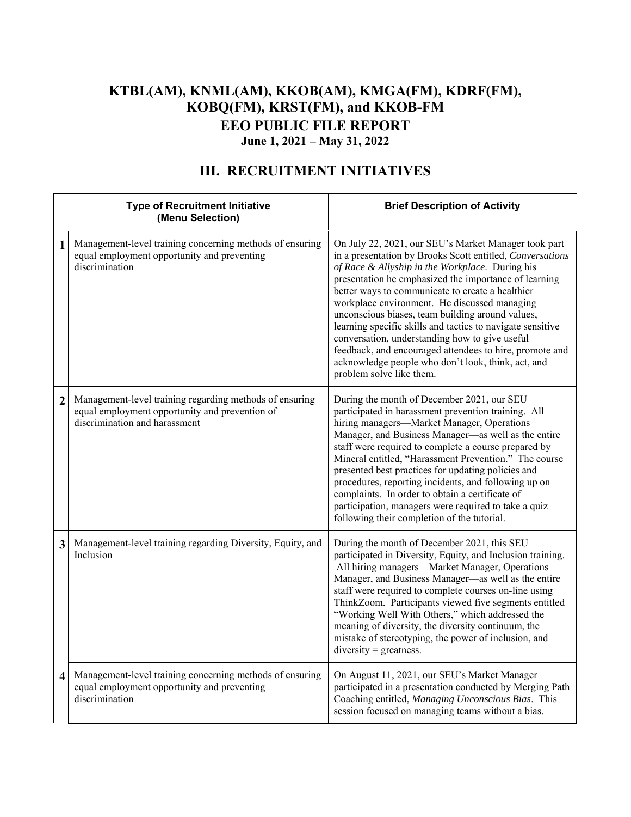### **KTBL(AM), KNML(AM), KKOB(AM), KMGA(FM), KDRF(FM), KOBQ(FM), KRST(FM), and KKOB-FM EEO PUBLIC FILE REPORT June 1, 2021 – May 31, 2022**

|                         | <b>Type of Recruitment Initiative</b><br>(Menu Selection)                                                                                  | <b>Brief Description of Activity</b>                                                                                                                                                                                                                                                                                                                                                                                                                                                                                                                                                                                                               |
|-------------------------|--------------------------------------------------------------------------------------------------------------------------------------------|----------------------------------------------------------------------------------------------------------------------------------------------------------------------------------------------------------------------------------------------------------------------------------------------------------------------------------------------------------------------------------------------------------------------------------------------------------------------------------------------------------------------------------------------------------------------------------------------------------------------------------------------------|
| 1                       | Management-level training concerning methods of ensuring<br>equal employment opportunity and preventing<br>discrimination                  | On July 22, 2021, our SEU's Market Manager took part<br>in a presentation by Brooks Scott entitled, Conversations<br>of Race & Allyship in the Workplace. During his<br>presentation he emphasized the importance of learning<br>better ways to communicate to create a healthier<br>workplace environment. He discussed managing<br>unconscious biases, team building around values,<br>learning specific skills and tactics to navigate sensitive<br>conversation, understanding how to give useful<br>feedback, and encouraged attendees to hire, promote and<br>acknowledge people who don't look, think, act, and<br>problem solve like them. |
| $\overline{2}$          | Management-level training regarding methods of ensuring<br>equal employment opportunity and prevention of<br>discrimination and harassment | During the month of December 2021, our SEU<br>participated in harassment prevention training. All<br>hiring managers-Market Manager, Operations<br>Manager, and Business Manager-as well as the entire<br>staff were required to complete a course prepared by<br>Mineral entitled, "Harassment Prevention." The course<br>presented best practices for updating policies and<br>procedures, reporting incidents, and following up on<br>complaints. In order to obtain a certificate of<br>participation, managers were required to take a quiz<br>following their completion of the tutorial.                                                    |
| 3                       | Management-level training regarding Diversity, Equity, and<br>Inclusion                                                                    | During the month of December 2021, this SEU<br>participated in Diversity, Equity, and Inclusion training.<br>All hiring managers-Market Manager, Operations<br>Manager, and Business Manager—as well as the entire<br>staff were required to complete courses on-line using<br>ThinkZoom. Participants viewed five segments entitled<br>"Working Well With Others," which addressed the<br>meaning of diversity, the diversity continuum, the<br>mistake of stereotyping, the power of inclusion, and<br>$diversity = greatestness.$                                                                                                               |
| $\overline{\mathbf{4}}$ | Management-level training concerning methods of ensuring<br>equal employment opportunity and preventing<br>discrimination                  | On August 11, 2021, our SEU's Market Manager<br>participated in a presentation conducted by Merging Path<br>Coaching entitled, Managing Unconscious Bias. This<br>session focused on managing teams without a bias.                                                                                                                                                                                                                                                                                                                                                                                                                                |

# **III. RECRUITMENT INITIATIVES**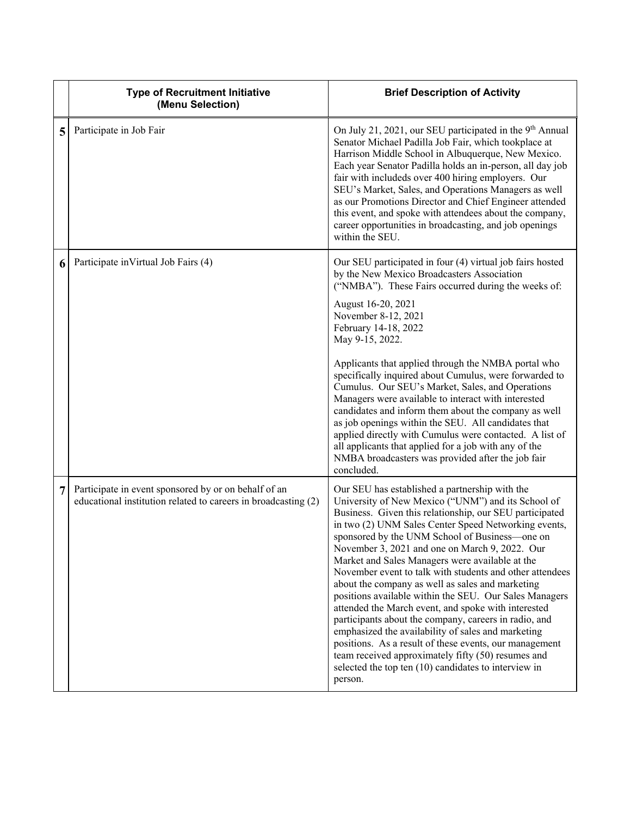|   | <b>Type of Recruitment Initiative</b><br>(Menu Selection)                                                              | <b>Brief Description of Activity</b>                                                                                                                                                                                                                                                                                                                                                                                                                                                                                                                                                                                                                                                                                                                                                                                                                                                                                |
|---|------------------------------------------------------------------------------------------------------------------------|---------------------------------------------------------------------------------------------------------------------------------------------------------------------------------------------------------------------------------------------------------------------------------------------------------------------------------------------------------------------------------------------------------------------------------------------------------------------------------------------------------------------------------------------------------------------------------------------------------------------------------------------------------------------------------------------------------------------------------------------------------------------------------------------------------------------------------------------------------------------------------------------------------------------|
| 5 | Participate in Job Fair                                                                                                | On July 21, 2021, our SEU participated in the 9 <sup>th</sup> Annual<br>Senator Michael Padilla Job Fair, which tookplace at<br>Harrison Middle School in Albuquerque, New Mexico.<br>Each year Senator Padilla holds an in-person, all day job<br>fair with includeds over 400 hiring employers. Our<br>SEU's Market, Sales, and Operations Managers as well<br>as our Promotions Director and Chief Engineer attended<br>this event, and spoke with attendees about the company,<br>career opportunities in broadcasting, and job openings<br>within the SEU.                                                                                                                                                                                                                                                                                                                                                     |
| 6 | Participate in Virtual Job Fairs (4)                                                                                   | Our SEU participated in four (4) virtual job fairs hosted<br>by the New Mexico Broadcasters Association<br>("NMBA"). These Fairs occurred during the weeks of:<br>August 16-20, 2021<br>November 8-12, 2021<br>February 14-18, 2022<br>May 9-15, 2022.<br>Applicants that applied through the NMBA portal who<br>specifically inquired about Cumulus, were forwarded to<br>Cumulus. Our SEU's Market, Sales, and Operations<br>Managers were available to interact with interested<br>candidates and inform them about the company as well<br>as job openings within the SEU. All candidates that<br>applied directly with Cumulus were contacted. A list of<br>all applicants that applied for a job with any of the<br>NMBA broadcasters was provided after the job fair<br>concluded.                                                                                                                            |
| 7 | Participate in event sponsored by or on behalf of an<br>educational institution related to careers in broadcasting (2) | Our SEU has established a partnership with the<br>University of New Mexico ("UNM") and its School of<br>Business. Given this relationship, our SEU participated<br>in two (2) UNM Sales Center Speed Networking events,<br>sponsored by the UNM School of Business-one on<br>November 3, 2021 and one on March 9, 2022. Our<br>Market and Sales Managers were available at the<br>November event to talk with students and other attendees<br>about the company as well as sales and marketing<br>positions available within the SEU. Our Sales Managers<br>attended the March event, and spoke with interested<br>participants about the company, careers in radio, and<br>emphasized the availability of sales and marketing<br>positions. As a result of these events, our management<br>team received approximately fifty (50) resumes and<br>selected the top ten $(10)$ candidates to interview in<br>person. |